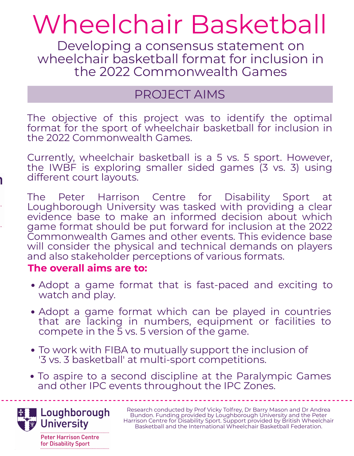# Wheelchair Basketball Developing a consensus statement on wheelchair basketball format for inclusion in the 2022 Commonwealth Games

The objective of this project was to identify the optimal format for the sport of wheelchair basketball for inclusion in the 2022 Commonwealth Games.

Currently, wheelchair basketball is a 5 vs. 5 sport. However, the IWBF is exploring smaller sided games (3 vs. 3) using different court layouts.

The Peter Harrison Centre for Disability Sport at Loughborough University was tasked with providing a clear evidence base to make an informed decision about which game format should be put forward for inclusion at the 2022 Commonwealth Games and other events. This evidence base will consider the physical and technical demands on players and also stakeholder perceptions of various formats.

## PROJECT AIMS

- Adopt a game format that is fast-paced and exciting to watch and play.
- Adopt a game format which can be played in countries that are lacking in numbers, equipment or facilities to compete in the 5 vs. 5 version of the game.

To work with FIBA to mutually support the inclusion of '3 vs. 3 basketball' at multi-sport competitions.

To aspire to a second discipline at the Paralympic Games and other IPC events throughout the IPC Zones.



**Peter Harrison Centre** for Disability Sport

## **The overall aims are to:**

Research conducted by Prof Vicky Tolfrey, Dr Barry Mason and Dr Andrea Bundon. Funding provided by Loughborough University and the Peter Harrison Centre for Disability Sport. Support provided by British Wheelchair Basketball and the International Wheelchair Basketball Federation.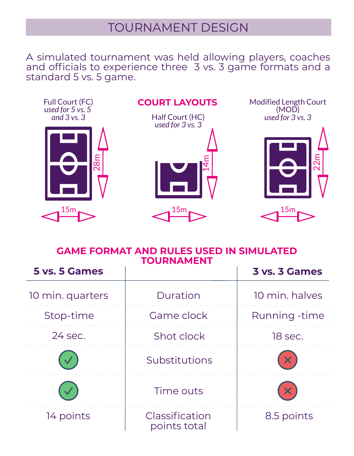#### **GAME FORMAT AND RULES USED IN SIMULATED TOURNAMENT**

| 5 vs. 5 Games    |            | 3 vs. 3 Games  |
|------------------|------------|----------------|
| 10 min. quarters | Duration   | 10 min. halves |
| Stop-time        | Game clock | Running-time   |
| 24 sec.          | Shot clock | 18 sec.        |



A simulated tournament was held allowing players, coaches and officials to experience three 3 vs. 3 game formats and a standard 5 vs. 5 game.



## TOURNAMENT DESIGN

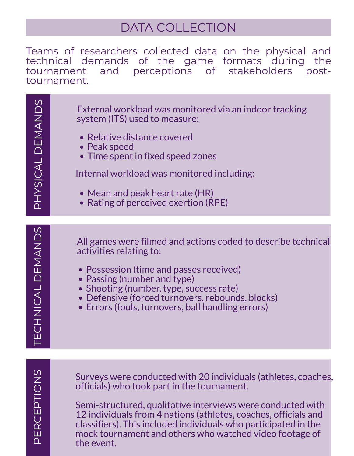Teams of researchers collected data on the physical and technical demands of the game formats during the tournament and perceptions of stakeholders posttournament.

 $\blacktriangleleft$ LDEM  $\blacktriangleleft$  $\overline{\angle}$  $\bigcap$  $\bm{\mathcal{S}}$ 

## DATA COLLECTION

- Relative distance covered
- Peak speed
- Time spent in fixed speed zones

External workload was monitored via an indoor tracking system (ITS) used to measure:

Internal workload was monitored including:

- Possession (time and passes received)
- Passing (number and type)
- Shooting (number, type, success rate)
- Defensive (forced turnovers, rebounds, blocks)
- Errors (fouls, turnovers, ball handling errors)
- Mean and peak heart rate (HR)
- Rating of perceived exertion (RPE)

All games were filmed and actions coded to describe technical activities relating to:

Surveys were conducted with 20 individuals (athletes, coaches, officials) who took part in the tournament.

Semi-structured, qualitative interviews were conducted with 12 individuals from 4 nations (athletes, coaches, officials and classifiers). This included individuals who participated in the mock tournament and others who watched video footage of the event.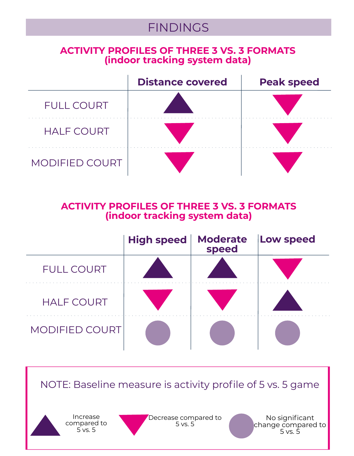## FINDINGS

#### **ACTIVITY PROFILES OF THREE 3 VS. 3 FORMATS (indoor tracking system data)**



#### **ACTIVITY PROFILES OF THREE 3 VS. 3 FORMATS (indoor tracking system data)**



#### NOTE: Baseline measure is activity profile of 5 vs. 5 game Increase compared to 5 vs. 5 Decrease compared to 5 vs. 5 No significant change compared to 5 vs. 5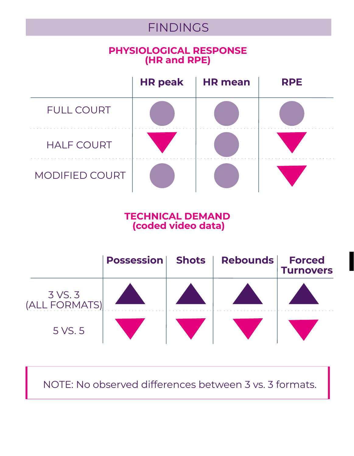

#### **PHYSIOLOGICAL RESPONSE (HR and RPE)**







#### NOTE: No observed differences between 3 vs. 3 formats.

#### **TECHNICAL DEMAND (coded video data)**

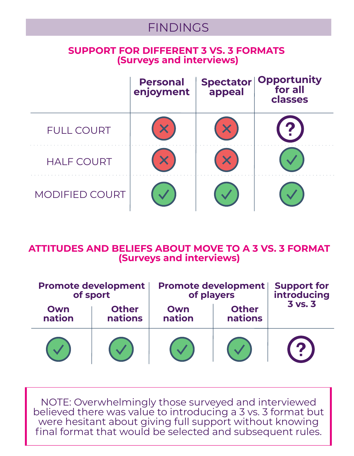## FINDINGS

#### **SUPPORT FOR DIFFERENT 3 VS. 3 FORMATS (Surveys and interviews)**





#### **ATTITUDES AND BELIEFS ABOUT MOVE TO A 3 VS. 3 FORMAT (Surveys and interviews)**

| Promote development |              | Promote development |         | Support for    |
|---------------------|--------------|---------------------|---------|----------------|
| of sport            |              | of players          |         | introducing    |
| Own                 | <b>Other</b> | Own                 | Other   | <b>3 vs. 3</b> |
| nation              | nations      | nation              | nations |                |
|                     |              |                     |         |                |



#### NOTE: Overwhelmingly those surveyed and interviewed believed there was value to introducing a 3 vs. 3 format but were hesitant about giving full support without knowing final format that would be selected and subsequent rules.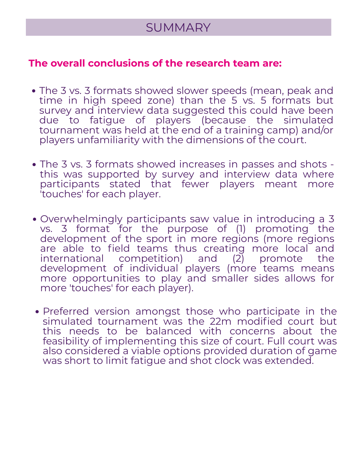- The 3 vs. 3 formats showed slower speeds (mean, peak and time in high speed zone) than the 5 vs. 5 formats but survey and interview data suggested this could have been due to fatigue of players (because the simulated tournament was held at the end of a training camp) and/or players unfamiliarity with the dimensions of the court.
- The 3 vs. 3 formats showed increases in passes and shots -

## **SUMMARY**

### **The overall conclusions of the research team are:**

this was supported by survey and interview data where participants stated that fewer players meant more 'touches' for each player.

- Overwhelmingly participants saw value in introducing a 3 vs. 3 format for the purpose of (1) promoting the development of the sport in more regions (more regions are able to field teams thus creating more local and international competition) and (2) promote the development of individual players (more teams means more opportunities to play and smaller sides allows for more 'touches' for each player).
- Preferred version amongst those who participate in the simulated tournament was the 22m modified court but this needs to be balanced with concerns about the feasibility of implementing this size of court. Full court was

also considered a viable options provided duration of game was short to limit fatigue and shot clock was extended.